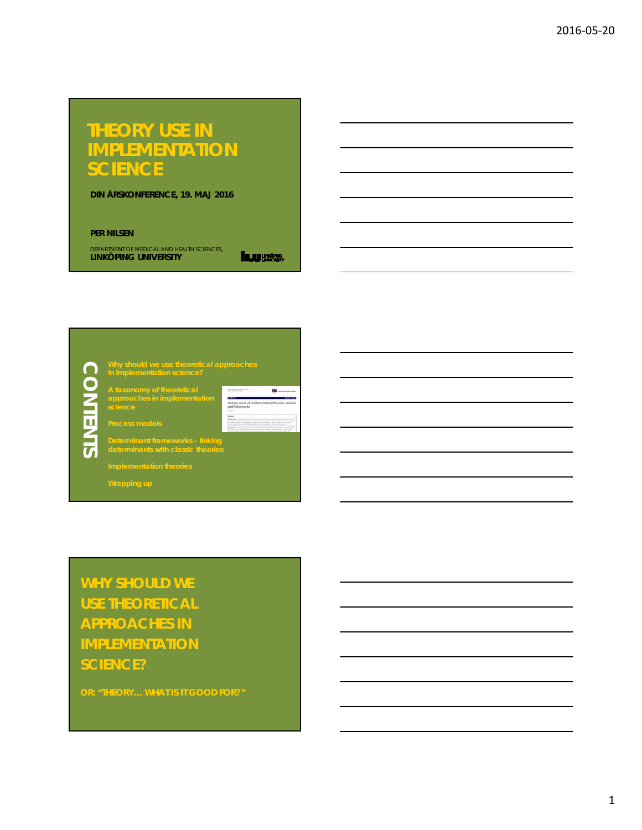# **THEORY USE IN IMPLEMENTATION SCIENCE**

**DIN ÅRSKONFERENCE, 19. MAJ 2016**

#### **PER NILSEN**

department of medical and health sciences,<br>**LINKÖPING UNIVERSITY** 

**Injuriese** 

**CONTENTS CONTENTS** 

the communication of the co- $\cdots$ **approaches in implementation**  Making sense of it

**Why should we use theoretical approaches** 

 $\frac{m_{\rm{max}}}{m_{\rm{max}}}$ 

 $\overline{15}$ 

**Determinant frameworks – linking** 

**WHY SHOULD WE USE THEORETICAL APPROACHES IN IMPLEMENTATION SCIENCE?**

**OR: "THEORY… WHAT IS IT GOOD FOR?"**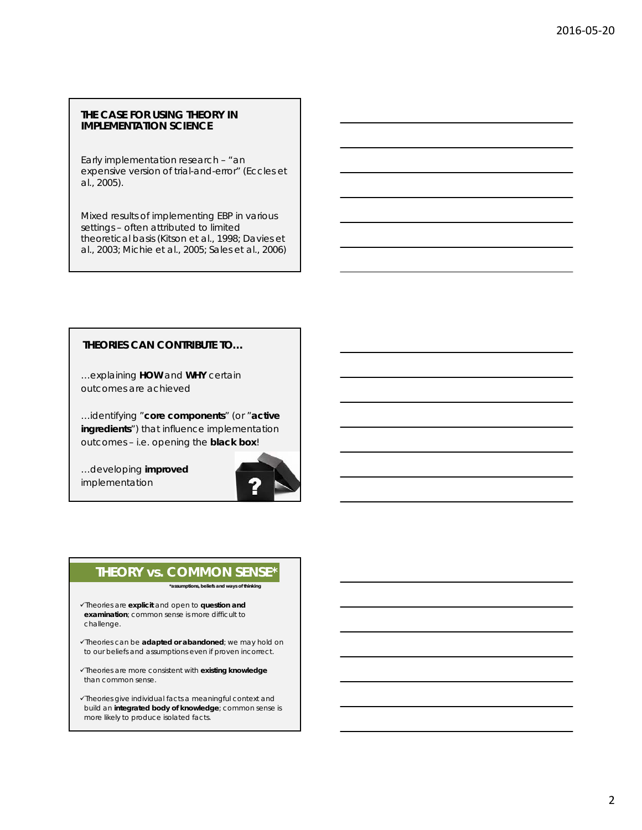#### **THE CASE FOR USING THEORY IN IMPLEMENTATION SCIENCE**

Early implementation research – "an expensive version of trial-and-error" (Eccles *et al.,* 2005).

Mixed results of implementing EBP in various settings – often attributed to limited theoretical basis (Kitson *et al*., 1998; Davies *et al*., 2003; Michie *et al*., 2005; Sales *et al*., 2006)

## **THEORIES CAN CONTRIBUTE TO…**

…explaining **HOW** and **WHY** certain outcomes are achieved

…identifying "**core components**" (or "**active ingredients**") that influence implementation outcomes – i.e. opening the **black box**!

…developing **improved** implementation



# **THEORY vs. COMMON SENSE\***

*\*assumptions, beliefs and ways of thinking*

- Theories are **explicit** and open to **question and examination**; common sense is more difficult to challenge.
- Theories can be **adapted or abandoned**; we may hold on to our beliefs and assumptions even if proven incorrect.
- Theories are more consistent with **existing knowledge** than common sense.
- Theories give individual facts a meaningful context and build an **integrated body of knowledge**; common sense is more likely to produce isolated facts.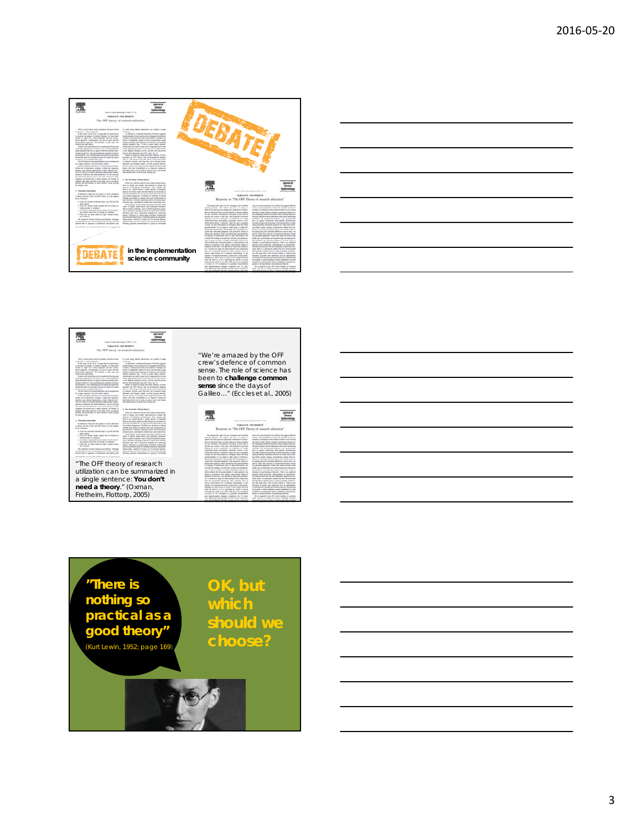





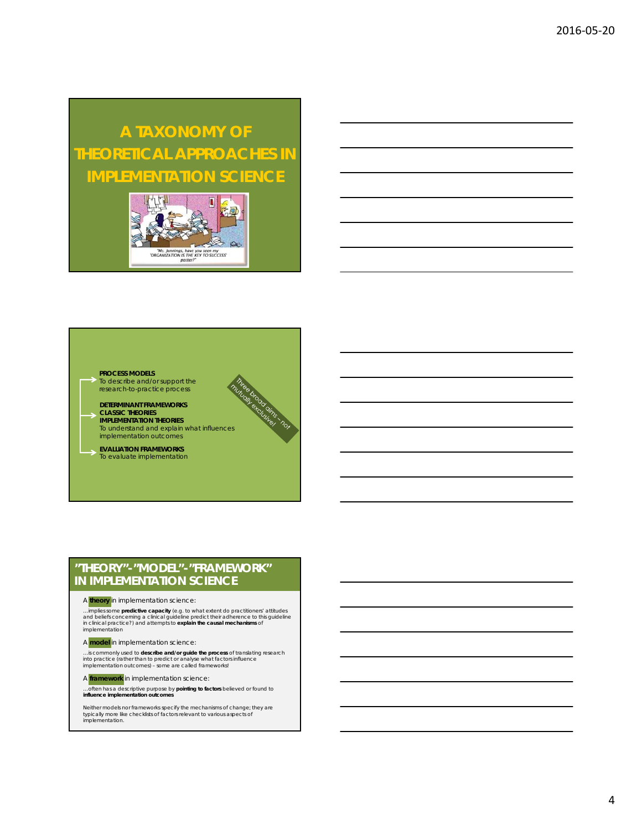# **A TAXONOMY OF THEORETICAL APPROACHES IN IMPLEMENTATION SCIENCE**



e brood omer nor



#### **PROCESS MODELS**

- To describe and/or support the research-to-practice process
- **DETERMINANT FRAMEWORKS CLASSIC THEORIES IMPLEMENTATION THEORIES**
- To understand and explain what influences implementation outcomes
- **EVALUATION FRAMEWORKS** To evaluate implementation

## **"THEORY"-"MODEL"-"FRAMEWORK" IN IMPLEMENTATION SCIENCE**

#### A **theory** in implementation science:

...implies some **predictive capacity (**e.g. to what extent do practitioners' attitudes<br>and beliefs concerning a clinical guideline predict their adherence to this guideline<br>in clinical practice?) and attempts to **explain t** implementation

A **model** in implementation science:

...is commonly used to **describe and/or guide the process** of translating research<br>into practice (rather than to predict or analyse what factors influence<br>implementation outcomes) - *some are called frameworks!* 

A **framework** in implementation science:

…often has a descriptive purpose by **pointing to factors** believed or found to **influence implementation outcomes**

*Neither models nor frameworks specify the mechanisms of change; they are typically more like checklists of factors relevant to various aspects of implementation.*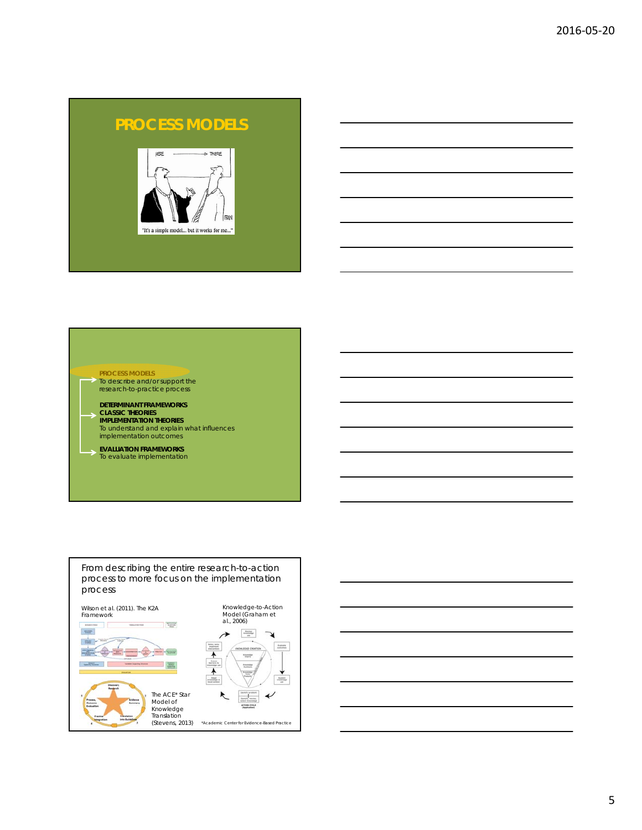# **PROCESS MODELS**





#### **PROCESS MODELS**

- To describe and/or support the research-to-practice process
- **DETERMINANT FRAMEWORKS CLASSIC THEORIES IMPLEMENTATION THEORIES**
- To understand and explain what influences implementation outcomes
- **EVALUATION FRAMEWORKS** To evaluate implementation



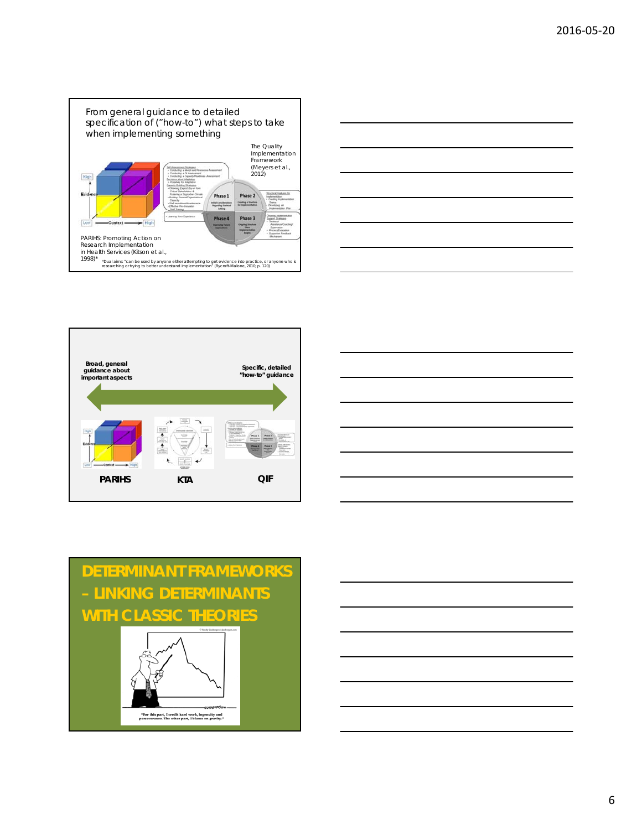









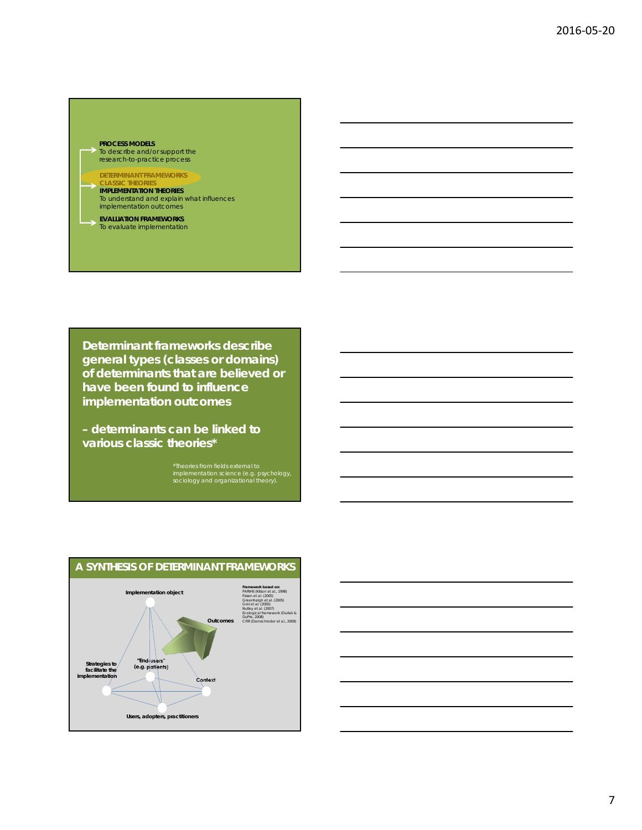### **PROCESS MODELS**

To describe and/or support the research-to-practice process

## **DETERMINANT FRAMEWORKS**

**CLASSIC THEORIES IMPLEMENTATION THEORIES**  To understand and explain what influences implementation outcomes

**EVALUATION FRAMEWORKS** To evaluate implementation

**Determinant frameworks describe general types (classes or domains) of determinants that are believed or have been found to influence implementation outcomes** 

**– determinants can be linked to various classic theories\***

\*Theories from fields external to implementation science (e.g. psychology, sociology and organizational theory).



# **A SYNTHESIS OF DETERMINANT FRAMEWORKS**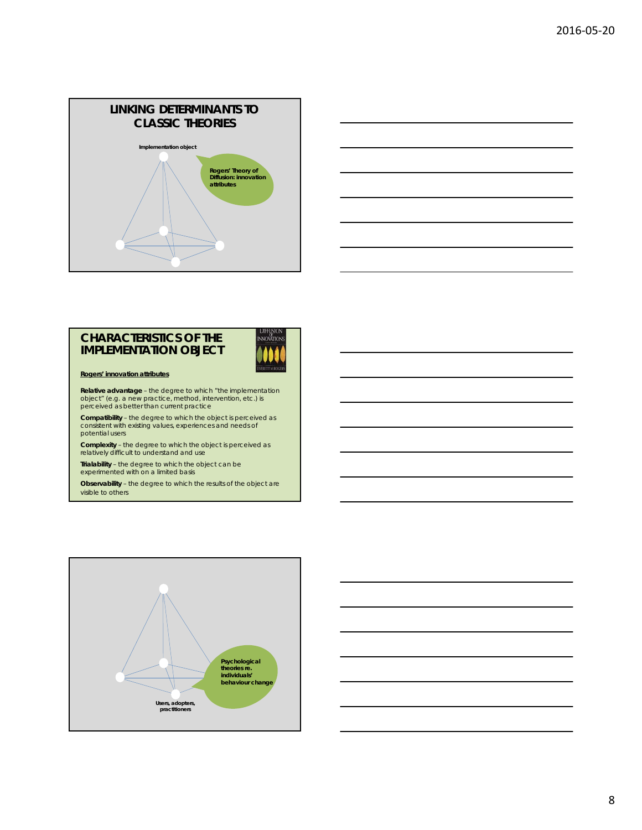



## **CHARACTERISTICS OF THE IMPLEMENTATION OBJECT**



**Rogers' innovation attributes**

**Relative advantage** – the degree to which "the implementation object" (e.g. a new practice, method, intervention, etc.) is perceived as better than current practice

**Compatibility** – the degree to which the object is perceived as consistent with existing values, experiences and needs of potential users

**Complexity** – the degree to which the object is perceived as relatively difficult to understand and use

**Trialability** – the degree to which the object can be experimented with on a limited basis

**Observability** – the degree to which the results of the object are visible to others



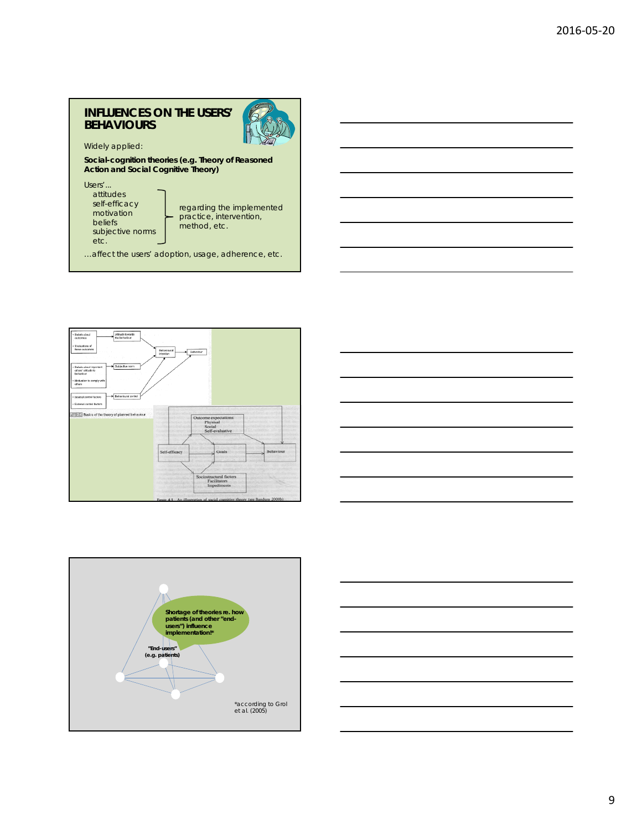## **INFLUENCES ON THE USERS' BEHAVIOURS**



Widely applied:

**Social-cognition theories (e.g. Theory of Reasoned Action and Social Cognitive Theory)**

Users'... attitudes self-efficacy motivation beliefs subjective norms etc.

regarding the implemented practice, intervention, method, etc.

…affect the users' adoption, usage, adherence, etc.







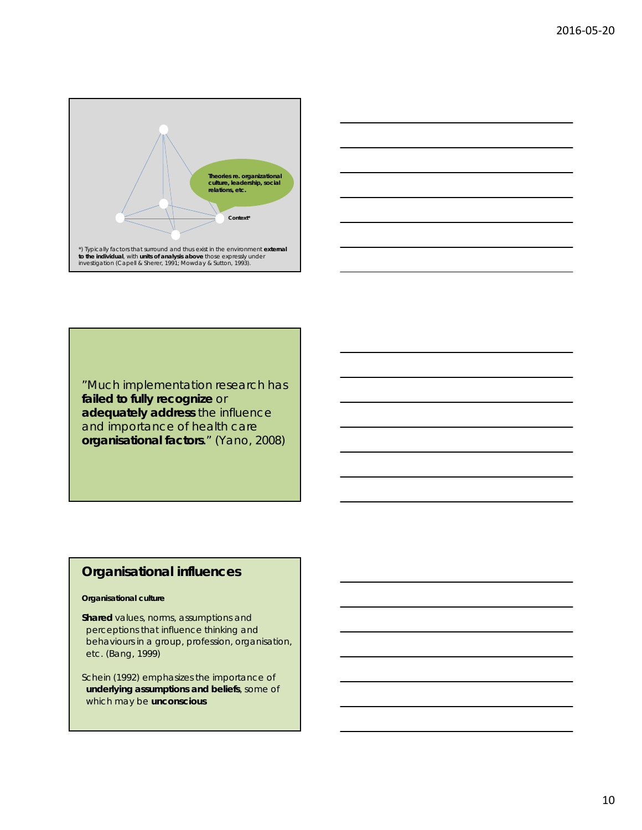



"Much implementation research has **failed to fully recognize** or **adequately address** the influence and importance of health care **organisational factors**." (Yano, 2008)

# **Organisational influences**

### **Organisational culture**

**Shared** values, norms, assumptions and perceptions that influence thinking and behaviours in a group, profession, organisation, etc. (Bang, 1999)

Schein (1992) emphasizes the importance of **underlying assumptions and beliefs**, some of which may be **unconscious**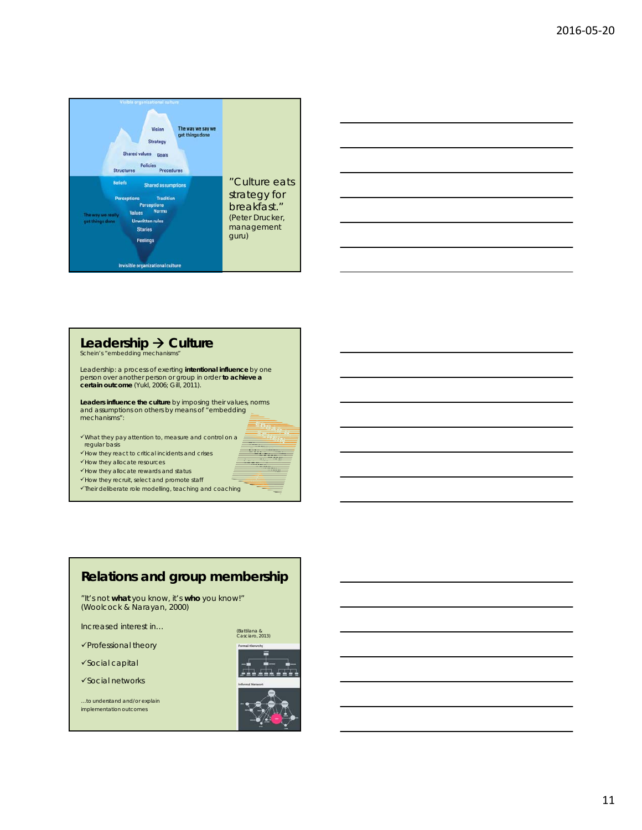



# **Leadership Culture**  Schein's "embedding mechanisms"

Leadership: a process of exerting **intentional influence** by one person over another person or group in order **to achieve a certain outcome** (Yukl, 2006; Gill, 2011).

**Leaders influence the culture** by imposing their values, norms and assumptions on others by means of "embedding mechanisms":

What they pay attention to, measure and control on a regular basis

 $\checkmark$  How they react to critical incidents and crises

 $\checkmark$  How they allocate resources

 $\checkmark$  How they allocate rewards and status

 $\checkmark$  How they recruit, select and promote staff

 $\checkmark$ Their deliberate role modelling, teaching and coaching

#### **Relations and group membership** "It's not **what** you know, it's **who** you know!" (Woolcock & Narayan, 2000) Increased interest in… (Battilana & Casciaro, 2013) $\checkmark$ Professional theory Social capital ٣ L Social networks

…to understand and/or explain implementation outcomes



÷.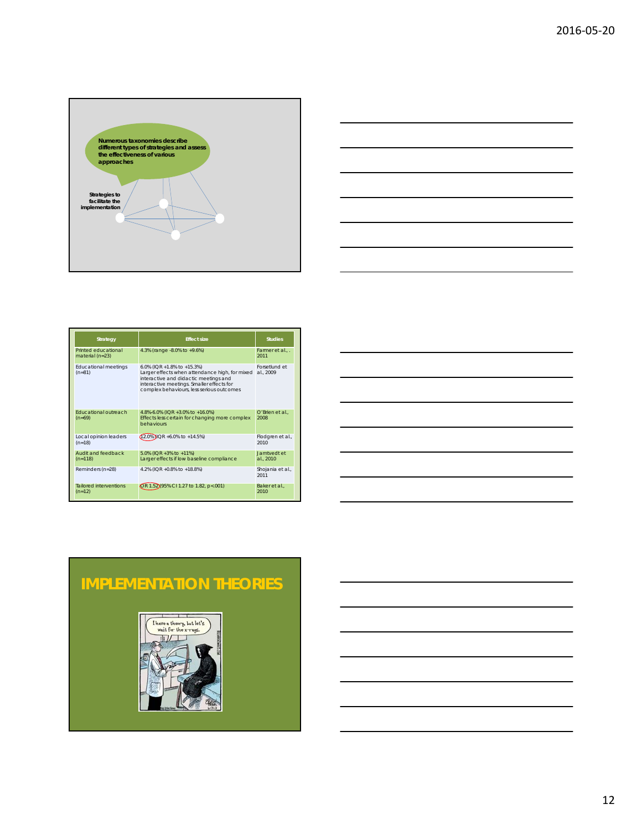



| <b>Strategy</b>                           | <b>Fffect size</b>                                                                                                                                                                                              | <b>Studies</b>             |
|-------------------------------------------|-----------------------------------------------------------------------------------------------------------------------------------------------------------------------------------------------------------------|----------------------------|
| Printed educational<br>material $(n=23)$  | 4.3% (range $-8.0\%$ to $+9.6\%$ )                                                                                                                                                                              | Farmer et al., .<br>2011   |
| <b>Educational meetings</b><br>$(n=81)$   | 6.0% (IQR +1.8% to +15.3%)<br>Larger effects when attendance high, for mixed<br>interactive and didactic meetings and<br>interactive meetings. Smaller effects for<br>complex behaviours, less serious outcomes | Forsetlund et<br>al., 2009 |
| <b>Educational outreach</b><br>$(n=69)$   | 4.8%-6.0% (IQR +3.0% to +16.0%)<br>Effects less certain for changing more complex<br>behaviours                                                                                                                 | O'Brien et al<br>2008      |
| Local opinion leaders<br>$(n=18)$         | $(12.0\%)$ IQR +6.0% to +14.5%)                                                                                                                                                                                 | Flodgren et al.,<br>2010   |
| Audit and feedback<br>$(n=118)$           | 5.0% (IQR +3% to +11%)<br>Larger effects if low baseline compliance                                                                                                                                             | Jamtvedt et<br>al., 2010   |
| Reminders (n=28)                          | 4.2% (IQR +0.8% to +18.8%)                                                                                                                                                                                      | Shojania et al.,<br>2011   |
| <b>Tailored interventions</b><br>$(n=12)$ | OR 1.52 195% CI 1.27 to 1.82, p<.001)                                                                                                                                                                           | Baker et al<br>2010        |



# **IMPLEMENTATION THEORIES**

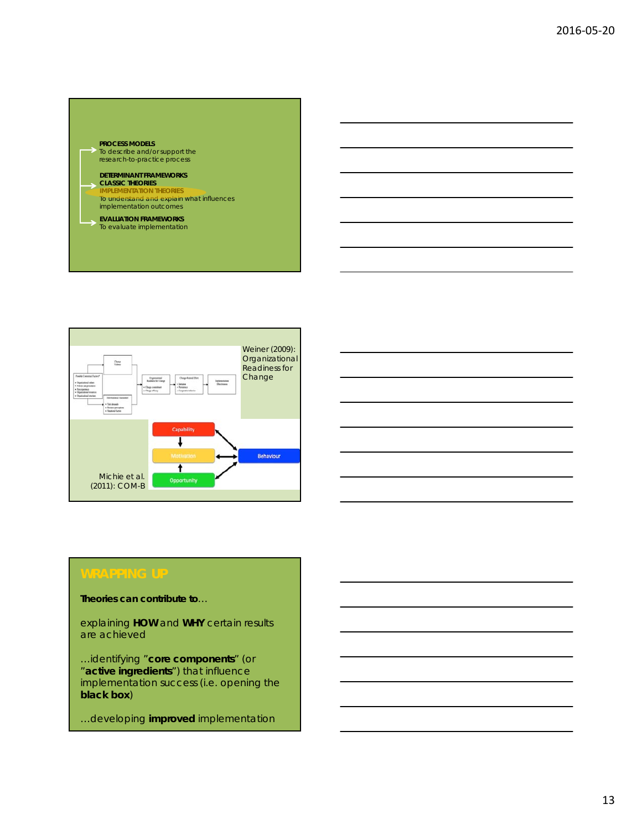## **PROCESS MODELS**  To describe and/or support the research-to-practice process **DETERMINANT FRAMEWORKS CLASSIC THEORIES IMPLEMENTATION THEORIES**  To understand and explain what influences implementation outcomes

**EVALUATION FRAMEWORKS** To evaluate implementation



**Theories can contribute to**…

explaining **HOW** and **WHY** certain results are achieved

…identifying "**core components**" (or "**active ingredients**") that influence implementation success (i.e. opening the **black box**)

…developing **improved** implementation